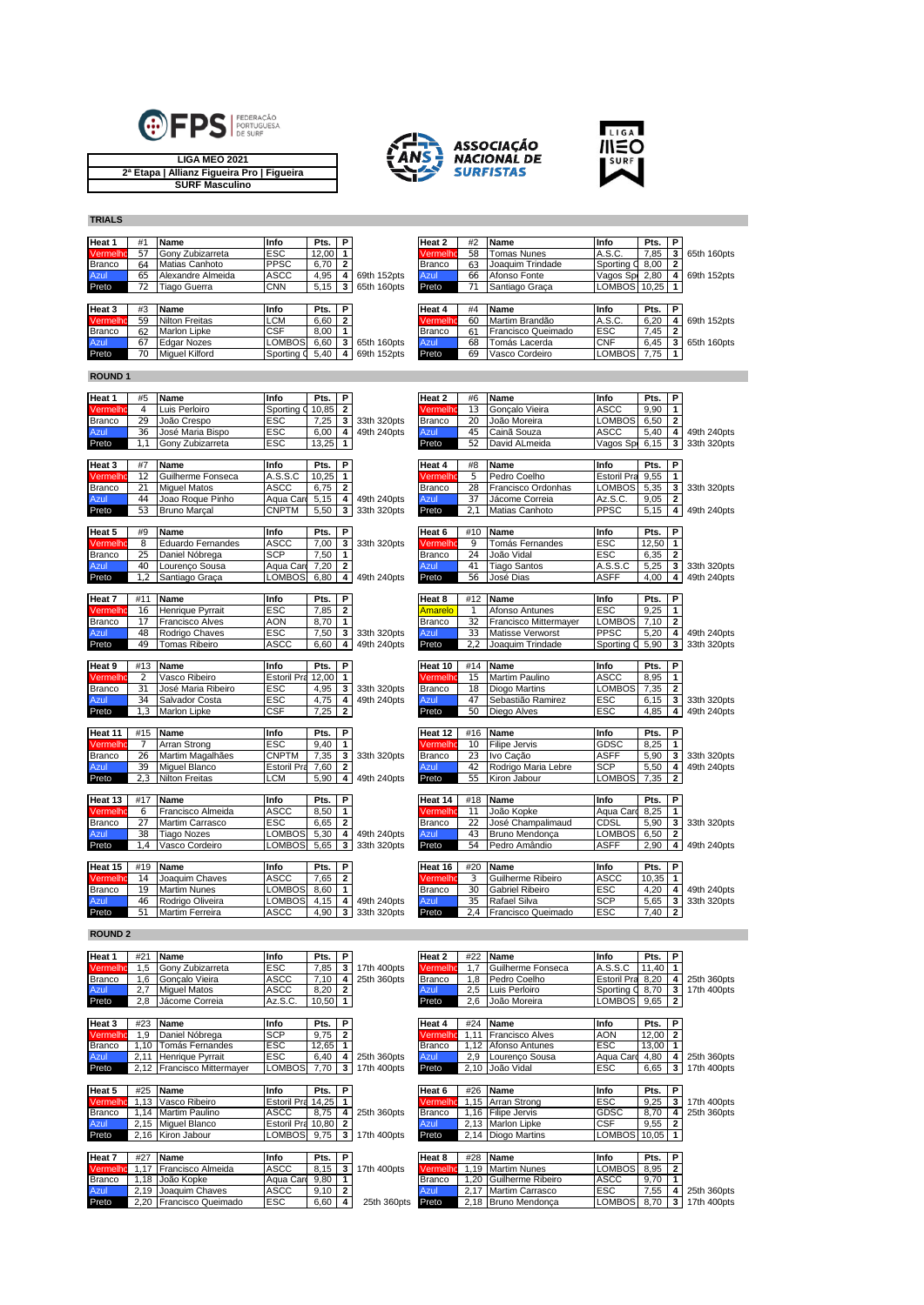

**LIGA MEO 2021 2ª Etapa | Allianz Figueira Pro | Figueira SURF Masculino**





**TRIALS**

| Heat 1        | #1 | <b>Name</b>           | Info          | Pts.   | P |             | Heat 2        | #2 | Name               | Info         | Pts.     | l P   |             |
|---------------|----|-----------------------|---------------|--------|---|-------------|---------------|----|--------------------|--------------|----------|-------|-------------|
| Vermelho      | 57 | Gony Zubizarreta      | <b>ESC</b>    | 12.00  |   |             | Vermelho      | 58 | <b>Tomas Nunes</b> | A.S.C.       | 7,85     | -3    | 65th 160pts |
| <b>Branco</b> | 64 | Matias Canhoto        | <b>PPSC</b>   | 6,70   |   |             | Branco        | 63 | Joaquim Trindade   | Sporting C   | $8,00$ 2 |       |             |
| Azul          | 65 | Alexandre Almeida     | <b>ASCC</b>   | 4,95   |   | 69th 152pts | Azul          | 66 | Afonso Fonte       | Vagos Sp     | 2.80     |       | 69th 152pts |
|               |    | Tiago Guerra          | <b>CNN</b>    | 5,15   | 3 | 65th 160pts | Preto         |    | Santiago Graca     | LOMBOS 10,25 |          |       |             |
| Preto         |    |                       |               |        |   |             |               |    |                    |              |          |       |             |
|               |    |                       |               |        |   |             |               |    |                    |              |          |       |             |
| Heat 3        | #3 | <b>Name</b>           | Info          | Pts. I | P |             | Heat 4        | #4 | Name               | Info         | Pts.     | . IP. |             |
| Vermelho      | 59 | <b>Nilton Freitas</b> | <b>LCM</b>    | 6,60   | 2 |             | Vermelho      | 60 | Martim Brandão     | A.S.C.       | 6.20     |       | 69th 152pts |
| <b>Branco</b> | 62 | <b>Marlon Lipke</b>   | <b>CSF</b>    | 8,00   |   |             | <b>Branco</b> | 6  | Francisco Queimado | <b>ESC</b>   | 7,45     |       |             |
| Azul          | 67 | <b>Edgar Nozes</b>    | <b>LOMBOS</b> | 6.60   | 3 | 65th 160pts | Azul          | 68 | Tomás Lacerda      | <b>CNF</b>   | 6.45     | -3    | 65th 160pts |

## **ROUND 1**

| Heat 1         | #21            | Name                                       | Info                    | Pts.         | P                       |                            | Heat 2         | #22     | Name                               | Info               | Pts.         | P                       |             |
|----------------|----------------|--------------------------------------------|-------------------------|--------------|-------------------------|----------------------------|----------------|---------|------------------------------------|--------------------|--------------|-------------------------|-------------|
|                |                |                                            |                         |              |                         |                            |                |         |                                    |                    |              |                         |             |
|                |                |                                            |                         |              |                         |                            |                |         |                                    |                    |              |                         |             |
| <b>ROUND 2</b> |                |                                            |                         |              |                         |                            |                |         |                                    |                    |              |                         |             |
| Preto          |                |                                            |                         |              |                         |                            |                |         |                                    |                    |              |                         |             |
|                | 51             | Rodrigo Oliveira<br><b>Martim Ferreira</b> | ASCC                    | 4,90         | 3                       | 49th 240pts<br>33th 320pts | Preto          | 2.4     | Rafael Silva<br>Francisco Queimado | ESC                | 7,40         | $\overline{\mathbf{2}}$ | 33th 320pts |
| Branco<br>Azul | 46             | <b>Martim Nunes</b>                        | <b>_OMBOS</b><br>LOMBOS | 8,60<br>4,15 | 1<br>4                  |                            | Branco<br>Azul | 35      | <b>Gabriel Ribeiro</b>             | ESC<br><b>SCP</b>  | 4,20<br>5,65 | 4<br>3                  | 49th 240pts |
| Vermelho       | 14<br>19       | Joaquim Chaves                             | ASCC                    | 7.65         | $\mathbf{2}$            |                            | Vermelhi       | 3<br>30 | Guilherme Ribeiro                  | ASCC               | 10,35        | 1                       |             |
| Heat 15        | #19            | <b>Name</b>                                | Info                    | Pts.         | P                       |                            | Heat 16        | #20     | Name                               | Info               | Pts.         | P                       |             |
|                |                |                                            |                         |              |                         |                            |                |         |                                    |                    |              |                         |             |
| Preto          | 1.4            | Vasco Cordeiro                             | <b>OMBOS</b>            | 5,65         | 3                       | 33th 320pts                | Preto          | 54      | Pedro Amândio                      | <b>ASFF</b>        | 2.90         | 4                       | 49th 240pts |
| Azul           | 38             | <b>Tiago Nozes</b>                         | LOMBOS                  | 5,30         | 4                       | 49th 240pts                | Azul           | 43      | Bruno Mendonca                     | LOMBOS             | 6.50         | $\overline{2}$          |             |
| <b>Branco</b>  | 27             | Martim Carrasco                            | ESC                     | 6.65         | $\overline{\mathbf{2}}$ |                            | <b>Branco</b>  | 22      | José Champalimaud                  | CDSL               | 5,90         | 3                       | 33th 320pts |
| Vermelh        | 6              | Francisco Almeida                          | ASCC                    | 8,50         | 1                       |                            | Vermelh        | 11      | João Kopke                         | Aqua Card          | 8,25         | 1                       |             |
| Heat 13        | #17            | Name                                       | Info                    | Pts.         | P                       |                            | Heat 14        | #18     | Name                               | Info               | Pts.         | P                       |             |
|                |                |                                            |                         |              |                         |                            |                |         |                                    |                    |              |                         |             |
| Preto          | 2.3            | Nilton Freitas                             | -CM                     | 5.90         | 4                       | 49th 240pts                | Preto          | 55      | Kiron Jabour                       | <b>LOMBOS</b>      | 7,35         | $\mathbf{2}$            |             |
| Azul           | 39             | Miquel Blanco                              | <b>Estoril Pra</b>      | 7,60         | $\overline{\mathbf{2}}$ |                            | Azul           | 42      | Rodrigo Maria Lebre                | <b>SCP</b>         | 5,50         | 4                       | 49th 240pts |
| Branco         | 26             | Martim Magalhães                           | <b>CNPTM</b>            | 7,35         | 3                       | 33th 320pts                | <b>Branco</b>  | 23      | Ivo Cação                          | <b>ASFF</b>        | 5,90         | 3                       | 33th 320pts |
| Vermelh        |                | Arran Strong                               | ESC                     | 9.40         | $\overline{1}$          |                            | Vermelh        | 10      | <b>Filipe Jervis</b>               | GDSC               | 8.25         | $\mathbf{1}$            |             |
| Heat 11        | #15            | <b>Name</b>                                | Info                    | Pts.         | P                       |                            | Heat 12        | #16     | Name                               | Info               | Pts.         | P                       |             |
|                |                |                                            |                         |              |                         |                            |                |         |                                    |                    |              |                         |             |
| Preto          | 1.3            | <b>Marlon Lipke</b>                        | CSF                     | 7,25         | $\overline{\mathbf{2}}$ |                            | Preto          | 50      | Diego Alves                        | ESC                | 4,85         | 4                       | 49th 240pts |
| Azul           | 34             | Salvador Costa                             | ESC                     | 4.75         | 4                       | 49th 240pts                | Azul           | 47      | Sebastião Ramirez                  | <b>ESC</b>         | 6.15         | 3                       | 33th 320pts |
| <b>Branco</b>  | 31             | José Maria Ribeiro                         | ESC                     | 4,95         | 3                       | 33th 320pts                | Branco         | 18      | Diogo Martins                      | LOMBOS             | 7,35         | $\overline{\mathbf{2}}$ |             |
| Vermelhı       | $\overline{2}$ | Vasco Ribeiro                              | Estoril Pra             | 12.00        | $\mathbf{1}$            |                            | Vermelh        | 15      | Martim Paulino                     | <b>ASCC</b>        | 8,95         | 1                       |             |
| Heat 9         | #13            | Name                                       | Info                    | Pts.         | P                       |                            | Heat 10        | #14     | Name                               | Info               | Pts.         | P                       |             |
|                |                |                                            |                         |              |                         |                            |                |         |                                    |                    |              |                         |             |
| Preto          | 49             | <b>Tomas Ribeiro</b>                       | ASCC                    | 6.60         | 4                       | 49th 240pts                | Preto          | 2,2     | Joaquim Trindade                   | Sporting           | 5,90         | 3                       | 33th 320pts |
| Azul           | 48             | Rodrigo Chaves                             | ESC                     | 7,50         | 3                       | 33th 320pts                | Azul           | 33      | Matisse Verworst                   | PPSC               | 5,20         | 4                       | 49th 240pts |
| Branco         | 17             | <b>Francisco Alves</b>                     | AON                     | 8.70         | 1                       |                            | <b>Branco</b>  | 32      | Francisco Mittermayer              | LOMBOS             | 7,10         | $\overline{\mathbf{2}}$ |             |
| Vermelh        | 16             | Henrique Pyrrait                           | ESC                     | 7,85         | $\overline{\mathbf{2}}$ |                            | Amarelo        |         | Afonso Antunes                     | ESC                | 9,25         | 1                       |             |
| Heat 7         | #11            | Name                                       | Info                    | Pts.         | P                       |                            | Heat 8         | #12     | Name                               | Info               | Pts.         | P                       |             |
|                |                |                                            |                         |              |                         |                            |                |         |                                    |                    |              |                         |             |
| Preto          | 1.2            | Santiago Graca                             | <b>LOMBOS</b>           | 6,80         | 4                       | 49th 240pts                | Preto          | 56      | José Dias                          | ASFF               | 4.00         | 4                       | 49th 240pts |
| Azul           | 40             | Lourenco Sousa                             | Aqua Car                | 7,20         | $\overline{\mathbf{z}}$ |                            | Azul           | 41      | <b>Tiago Santos</b>                | A.S.S.C            | 5,25         | 3                       | 33th 320pts |
| Branco         | 25             | Daniel Nóbrega                             | SCP                     | 7,50         | $\mathbf{1}$            |                            | <b>Branco</b>  | 24      | João Vidal                         | ESC                | 6,35         | $\overline{2}$          |             |
| Vermelho       | 8              | <b>Eduardo Fernandes</b>                   | ASCC                    | 7.00         | 3                       | 33th 320pts                | Vermelhı       | 9       | Tomás Fernandes                    | ESC                | 12,50        | 1                       |             |
| Heat 5         | #9             | Name                                       | Info                    | Pts.         | P                       |                            | Heat 6         | #10     | Name                               | Info               | Pts.         | P                       |             |
|                |                |                                            |                         |              |                         |                            |                |         |                                    |                    |              |                         |             |
| Preto          | 53             | <b>Bruno Marcal</b>                        | <b>CNPTM</b>            | 5,50         | 3                       | 33th 320pts                | Preto          | 2.1     | Matias Canhoto                     | PPSC               | 5,15         | 4                       | 49th 240pts |
| Azul           | 44             | Joao Roque Pinho                           | Aqua Car                | 5.15         | 4                       | 49th 240pts                | Azul           | 37      | Jácome Correia                     | Az.S.C             | 9.05         | $\overline{2}$          |             |
| Branco         | 21             | <b>Miguel Matos</b>                        | ASCC                    | 6.75         | $\overline{\mathbf{2}}$ |                            | <b>Branco</b>  | 28      | Francisco Ordonhas                 | LOMBOS             | 5,35         | 3                       | 33th 320pts |
| Vermelh        | 12             | Guilherme Fonseca                          | A.S.S.C                 | 10.25        | $\mathbf{1}$            |                            | Vermelh        | 5       | Pedro Coelho                       | <b>Estoril Pra</b> | 9,55         | $\mathbf{1}$            |             |
| Heat 3         | #7             | Name                                       | Info                    | Pts.         | P                       |                            | Heat 4         | #8      | Name                               | Info               | Pts.         | P                       |             |
|                |                |                                            |                         |              |                         |                            |                |         |                                    |                    |              |                         |             |
| Preto          | 1.1            | Gony Zubizarreta                           | ESC                     | 13.25        | 1                       |                            | Preto          | 52      | David ALmeida                      | Vagos Sp           | 6,15         | 3                       | 33th 320pts |
| Azul           | 36             | José Maria Bispo                           | ESC                     | 6,00         | 4                       | 49th 240pts                | Azul           | 45      | Cainã Souza                        | ASCC               | 5,40         | 4                       | 49th 240pts |
| Branco         | 29             | João Crespo                                | ESC                     | 7,25         | 3                       | 33th 320pts                | <b>Branco</b>  | 20      | João Moreira                       | <b>LOMBOS</b>      | 6.50         | $\mathbf{2}$            |             |
| Vermelh        | $\overline{4}$ | Luis Perloiro                              | Sporting                | 10,85        | $\overline{2}$          |                            | Vermelh        | 13      | Goncalo Vieira                     | ASCC               | 9.90         | $\mathbf{1}$            |             |
| Heat 1         | #5             | Name                                       | Info                    | Pts.         | P                       |                            | Heat 2         | #6      | Name                               | Info               | Pts.         | P                       |             |

| <b>Heat 1</b> | #21  | <b>Name</b>                  | Info               | Pts.  | P |             | Heat 2   | #22  | Name                   | Info               | Pts.  | P |             |
|---------------|------|------------------------------|--------------------|-------|---|-------------|----------|------|------------------------|--------------------|-------|---|-------------|
| Vermelho      | 1.5  | Gony Zubizarreta             | <b>ESC</b>         | 7,85  | 3 | 17th 400pts | Vermelho | 1.7  | Guilherme Fonseca      | A.S.S.C            | 11,40 |   |             |
| Branco        | 1.6  | Goncalo Vieira               | ASCC               | 7,10  |   | 25th 360pts | Branco   | 1,8  | Pedro Coelho           | <b>Estoril Pra</b> | 8,20  |   | 25th 360pts |
| Azul          | 2,7  | <b>Miquel Matos</b>          | ASCC               | 8,20  |   |             | Azul     | 2,5  | Luis Perloiro          | Sporting C         | 8,70  | 3 | 17th 400pts |
| Preto         | 2,8  | Jácome Correia               | Az.S.C.            | 10,50 |   |             | Preto    | 2,6  | João Moreira           | <b>LOMBOS</b>      | 9,65  | 2 |             |
|               |      |                              |                    |       |   |             |          |      |                        |                    |       |   |             |
| Heat 3        | #23  | <b>Name</b>                  | Info               | Pts.  | P |             | Heat 4   | #24  | Name                   | Info               | Pts.  | P |             |
| Vermelho      | 1,9  | Daniel Nóbrega               | <b>SCP</b>         | 9,75  |   |             | Vermelhc | 1.11 | <b>Francisco Alves</b> | <b>AON</b>         | 12,00 |   |             |
| Branco        | 1,10 | Tomás Fernandes              | <b>ESC</b>         | 12,65 |   |             | Branco   | 1.12 | Afonso Antunes         | <b>ESC</b>         | 13,00 |   |             |
| Azul          | 2,11 | Henrique Pyrrait             | <b>ESC</b>         | 6,40  |   | 25th 360pts | Azul     | 2,9  | Lourenco Sousa         | Aqua Card          | 4,80  |   | 25th 360pts |
| Preto         | 2,12 | <b>Francisco Mittermayer</b> | <b>LOMBOS</b>      | 7,70  | 3 | 17th 400pts | Preto    | 2,10 | João Vidal             | <b>ESC</b>         | 6,65  | 3 | 17th 400pts |
|               |      |                              |                    |       |   |             |          |      |                        |                    |       |   |             |
| Heat 5        | #25  | <b>Name</b>                  | Info               | Pts.  | P |             | Heat 6   | #26  | Name                   | Info               | Pts.  | P |             |
| Vermelho      | 1.13 | Vasco Ribeiro                | Estoril Pra 14.25  |       |   |             | Vermelho | 1.15 | Arran Strong           | <b>ESC</b>         | 9,25  | з | 17th 400pts |
| <b>Branco</b> | 1.14 | <b>Martim Paulino</b>        | ASCC               | 8,75  |   | 25th 360pts | Branco   | 1.16 | <b>Filipe Jervis</b>   | GDSC               | 8,70  |   | 25th 360pts |
| Azul          | 2,15 | <b>Miquel Blanco</b>         | <b>Estoril Pra</b> | 10.80 | 2 |             | Azul     | 2,13 | <b>Marlon Lipke</b>    | <b>CSF</b>         | 9,55  |   |             |
| Preto         | 2.16 | Kiron Jabour                 | <b>LOMBOS</b>      | 9.75  | 3 | 17th 400pts | Preto    | 2,14 | <b>Diogo Martins</b>   | LOMBOS             | 10.05 |   |             |
|               |      |                              |                    |       |   |             |          |      |                        |                    |       |   |             |
| Heat 7        | #27  | <b>Name</b>                  | Info               | Pts.  | P |             | Heat 8   | #28  | Name                   | Info               | Pts.  | P |             |
| Vermelho      | 1,17 | Francisco Almeida            | ASCC               | 8,15  | 3 | 17th 400pts | Vermelho | 1.19 | <b>Martim Nunes</b>    | LOMBOS             | 8,95  |   |             |
| <b>Branco</b> | 1,18 | João Kopke                   | Aqua Card          | 9,80  |   |             | Branco   | 1,20 | Guilherme Ribeiro      | ASCC               | 9,70  |   |             |
| Azul          | 2,19 | Joaquim Chaves               | ASCC               | 9,10  | 2 |             | Azul     | 2,17 | Martim Carrasco        | <b>ESC</b>         | 7,55  |   | 25th 360pts |
| Preto         | 2.20 | Francisco Queimado           | <b>ESC</b>         | 6,60  |   | 25th 360pts | Preto    |      | 2.18 Bruno Mendonca    | <b>LOMBOS</b>      | 8.70  | 3 | 17th 400pts |